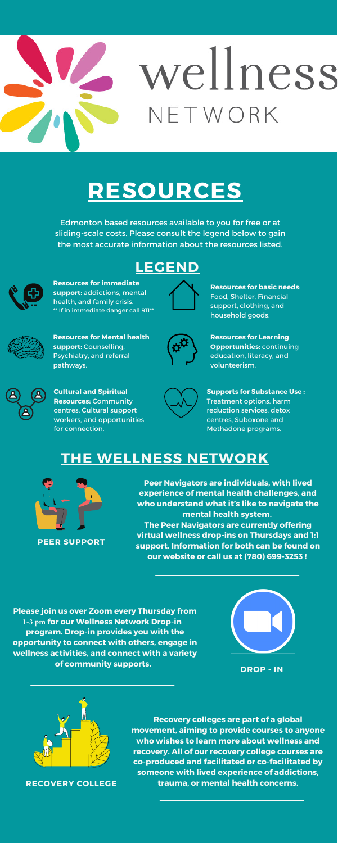**Peer Navigators are individuals, with lived experience of mental health challenges, and who understand what it's like to navigate the mental health system. The Peer Navigators are currently offering virtual wellness drop-ins on Thursdays and 1:1 support. Information for both can be found on our website or call us at (780) 699-3253 !**

**Recovery colleges are part of a global movement, aiming to provide courses to anyone who wishes to learn more about wellness and recovery. All of our recovery college courses are co-produced and facilitated or co-facilitated by someone with lived experience of addictions, trauma, or mental health concerns.**

**Please join us over Zoom every Thursday from 1-3 pm for our Wellness Network Drop-in program. Drop-in provides you with the opportunity to connect with others, engage in wellness activities, and connect with a variety of community supports.**



## wellness NETWORK

## **RESOURCES**



**Resources for basic needs**: Food, Shelter, Financial support, clothing, and household goods.



**Resources for Mental health support:** Counselling, Psychiatry, and referral pathways.



**Resources for immediate support**: addictions, mental health, and family crisis. \*\* If in immediate danger call 911\*\*



**Resources for Learning Opportunities:** continuing education, literacy, and volunteerism.



**Supports for Substance Use :** Treatment options, harm reduction services, detox centres, Suboxone and Methadone programs.

Edmonton based resources available to you for free or at sliding-scale costs. Please consult the legend below to gain the most accurate information about the resources listed.



**Cultural and Spiritual Resources:** Community centres, Cultural support workers, and opportunities for connection.



## **THE WELLNESS NETWORK**



**DROP - IN**



**RECOVERY COLLEGE**